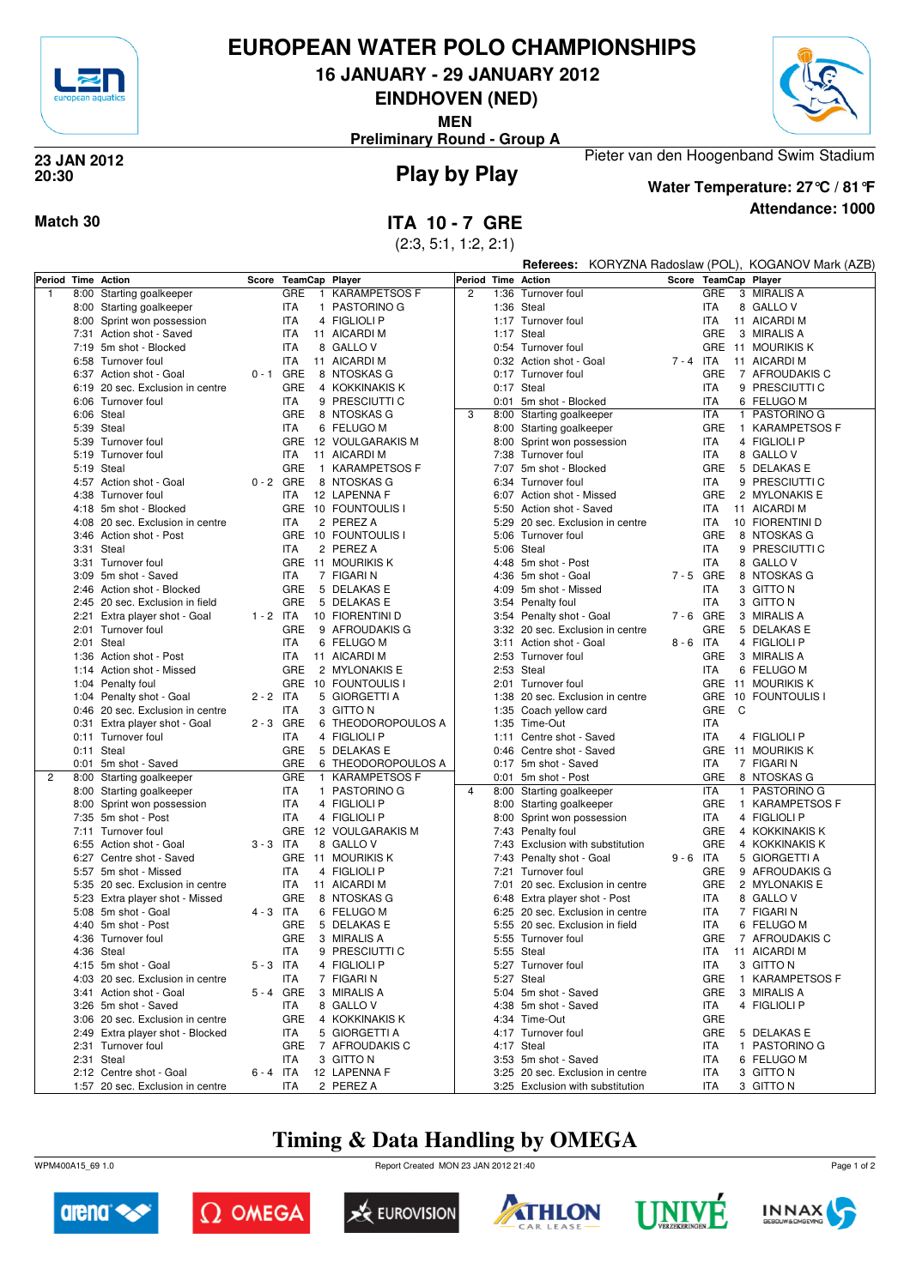

# **EUROPEAN WATER POLO CHAMPIONSHIPS**

**16 JANUARY - 29 JANUARY 2012**

**EINDHOVEN (NED)**

**MEN**

**Preliminary Round - Group A**



**Play by Play 23 JAN 2012 20:30**

**Attendance: 1000 Water Temperature: 27°C / 81°F**

Pieter van den Hoogenband Swim Stadium

**Match 30 ITA 10 - 7 GRE** 

|                |              |                                          |                         |             |              | (2:3, 5:1, 1:2, 2:1)        |                |                          |                                                      |             |                          |                                 |
|----------------|--------------|------------------------------------------|-------------------------|-------------|--------------|-----------------------------|----------------|--------------------------|------------------------------------------------------|-------------|--------------------------|---------------------------------|
|                |              |                                          |                         |             |              |                             |                |                          | Referees: KORYZNA Radoslaw (POL), KOGANOV Mark (AZB) |             |                          |                                 |
|                |              | Period Time Action                       | Score<br>TeamCap Player |             |              | Period Time Action          |                |                          |                                                      |             | Score TeamCap Player     |                                 |
| 1              | 8:00         | Starting goalkeeper                      |                         | GRE         | $\mathbf{1}$ | <b>KARAMPETSOS F</b>        | $\overline{c}$ | 1:36                     | Turnover foul                                        |             | <b>GRE</b>               | 3 MIRALIS A                     |
|                |              | 8:00 Starting goalkeeper                 |                         | <b>ITA</b>  |              | 1 PASTORINO G               |                |                          | 1:36 Steal                                           |             | <b>ITA</b>               | 8 GALLO V                       |
|                | 8:00         | Sprint won possession                    |                         | <b>ITA</b>  |              | 4 FIGLIOLI P                |                |                          | 1:17 Turnover foul                                   |             | <b>ITA</b>               | 11 AICARDI M                    |
|                | 7:31         | Action shot - Saved                      |                         | <b>ITA</b>  |              | 11 AICARDI M                |                |                          | 1:17 Steal                                           |             | GRE                      | 3 MIRALIS A                     |
|                |              | 7:19 5m shot - Blocked                   |                         | <b>ITA</b>  |              | 8 GALLOV                    |                |                          | 0:54 Turnover foul                                   |             | <b>GRE</b>               | 11 MOURIKIS K                   |
|                |              | 6:58 Turnover foul                       |                         | ITA         |              | 11 AICARDI M                |                |                          | 0:32 Action shot - Goal                              | $7 - 4$ ITA |                          | 11 AICARDI M                    |
|                |              | 6:37 Action shot - Goal                  | $0 - 1$ GRE             |             |              | 8 NTOSKAS G                 |                |                          | 0:17 Turnover foul                                   |             | GRE                      | 7 AFROUDAKIS C                  |
|                |              | 6:19 20 sec. Exclusion in centre         |                         | <b>GRE</b>  |              | 4 KOKKINAKIS K              |                |                          | 0:17 Steal                                           |             | <b>ITA</b>               | 9 PRESCIUTTI C                  |
|                | 6:06         | Turnover foul                            |                         | <b>ITA</b>  |              | 9 PRESCIUTTI C              |                |                          | 0:01 5m shot - Blocked                               |             | <b>ITA</b>               | 6 FELUGO M                      |
|                |              | 6:06 Steal                               | <b>GRE</b>              |             | 8 NTOSKAS G  | 3                           |                | 8:00 Starting goalkeeper |                                                      | <b>ITA</b>  | 1 PASTORINO G            |                                 |
|                | 5:39         | Steal                                    |                         | <b>ITA</b>  |              | 6 FELUGO M                  |                |                          | 8:00 Starting goalkeeper                             |             | <b>GRE</b>               | 1 KARAMPETSOS F                 |
|                |              | 5:39 Turnover foul                       |                         |             |              | GRE 12 VOULGARAKIS M        |                |                          | 8:00 Sprint won possession                           |             | <b>ITA</b>               | 4 FIGLIOLI P                    |
|                |              | 5:19 Turnover foul<br>5:19 Steal         |                         | <b>ITA</b>  |              | 11 AICARDI M                |                | 7:38                     | Turnover foul                                        |             | <b>ITA</b><br><b>GRE</b> | 8 GALLO V                       |
|                |              |                                          | $0 - 2$ GRE             | GRE         |              | 1 KARAMPETSOS F             |                |                          | 7:07 5m shot - Blocked                               |             |                          | 5 DELAKAS E                     |
|                | 4:38         | 4:57 Action shot - Goal<br>Turnover foul |                         | ITA         |              | 8 NTOSKAS G<br>12 LAPENNA F |                |                          | 6:34 Turnover foul<br>6:07 Action shot - Missed      |             | ITA<br><b>GRE</b>        | 9 PRESCIUTTI C<br>2 MYLONAKIS E |
|                |              | 5m shot - Blocked                        |                         |             |              | GRE 10 FOUNTOULIS I         |                |                          |                                                      |             | <b>ITA</b>               | 11 AICARDI M                    |
|                | 4:18<br>4:08 | 20 sec. Exclusion in centre              |                         | <b>ITA</b>  |              | 2 PEREZ A                   |                | 5:50<br>5:29             | Action shot - Saved<br>20 sec. Exclusion in centre   |             | <b>ITA</b>               | 10 FIORENTINI D                 |
|                | 3:46         | Action shot - Post                       |                         |             |              | GRE 10 FOUNTOULIS I         |                | 5:06                     | Turnover foul                                        |             | GRE                      | 8 NTOSKAS G                     |
|                | 3:31         | Steal                                    |                         | <b>ITA</b>  |              | 2 PEREZ A                   |                |                          | 5:06 Steal                                           |             | ITA                      | 9 PRESCIUTTI C                  |
|                |              | 3:31 Turnover foul                       |                         |             |              | GRE 11 MOURIKIS K           |                |                          | 4:48 5m shot - Post                                  |             | <b>ITA</b>               | 8 GALLO V                       |
|                |              | 3:09 5m shot - Saved                     |                         | <b>ITA</b>  |              | 7 FIGARI N                  |                |                          | 4:36 5m shot - Goal                                  | $7 - 5$ GRE |                          | 8 NTOSKAS G                     |
|                | 2:46         | Action shot - Blocked                    |                         | GRE         |              | 5 DELAKAS E                 |                | 4:09                     | 5m shot - Missed                                     |             | <b>ITA</b>               | 3 GITTO N                       |
|                |              | 2:45 20 sec. Exclusion in field          |                         | <b>GRE</b>  |              | 5 DELAKAS E                 |                |                          | 3:54 Penalty foul                                    |             | <b>ITA</b>               | 3 GITTO N                       |
|                |              | 2:21 Extra player shot - Goal            | $1 - 2$ ITA             |             |              | 10 FIORENTINI D             |                |                          | 3:54 Penalty shot - Goal                             |             | $7 - 6$ GRE              | 3 MIRALIS A                     |
|                |              | 2:01 Turnover foul                       |                         | <b>GRE</b>  |              | 9 AFROUDAKIS G              |                |                          | 3:32 20 sec. Exclusion in centre                     |             | GRE                      | 5 DELAKAS E                     |
|                | 2:01         | Steal                                    |                         | <b>ITA</b>  |              | 6 FELUGO M                  |                | 3:11                     | Action shot - Goal                                   | $8 - 6$     | ITA                      | 4 FIGLIOLI P                    |
|                |              | 1:36 Action shot - Post                  |                         | <b>ITA</b>  |              | 11 AICARDI M                |                |                          | 2:53 Turnover foul                                   |             | <b>GRE</b>               | 3 MIRALIS A                     |
|                |              | 1:14 Action shot - Missed                |                         | <b>GRE</b>  |              | 2 MYLONAKIS E               |                |                          | 2:53 Steal                                           |             | <b>ITA</b>               | 6 FELUGO M                      |
|                |              | 1:04 Penalty foul                        |                         |             |              | GRE 10 FOUNTOULIS I         |                |                          | 2:01 Turnover foul                                   |             |                          | GRE 11 MOURIKIS K               |
|                |              | 1:04 Penalty shot - Goal                 | $2 - 2$ ITA             |             |              | 5 GIORGETTI A               |                |                          | 1:38 20 sec. Exclusion in centre                     |             |                          | GRE 10 FOUNTOULIS I             |
|                |              | 0:46 20 sec. Exclusion in centre         |                         | <b>ITA</b>  |              | 3 GITTO N                   |                |                          | 1:35 Coach yellow card                               |             | GRE C                    |                                 |
|                |              | 0:31 Extra player shot - Goal            |                         | $2 - 3$ GRE |              | 6 THEODOROPOULOS A          |                |                          | 1:35 Time-Out                                        |             | <b>ITA</b>               |                                 |
|                |              | 0:11 Turnover foul                       |                         | <b>ITA</b>  |              | 4 FIGLIOLI P                |                |                          | 1:11 Centre shot - Saved                             |             | <b>ITA</b>               | 4 FIGLIOLI P                    |
|                |              | 0:11 Steal                               |                         | <b>GRE</b>  |              | 5 DELAKAS E                 |                |                          | 0:46 Centre shot - Saved                             |             |                          | GRE 11 MOURIKIS K               |
|                |              | 0:01 5m shot - Saved                     |                         | GRE         |              | 6 THEODOROPOULOS A          |                |                          | 0:17 5m shot - Saved                                 |             | <b>ITA</b>               | 7 FIGARI N                      |
| $\overline{c}$ | 8:00         | Starting goalkeeper                      |                         | <b>GRE</b>  | $\mathbf{1}$ | <b>KARAMPETSOS F</b>        |                |                          | 0:01 5m shot - Post                                  |             | <b>GRE</b>               | 8 NTOSKAS G                     |
|                | 8:00         | Starting goalkeeper                      |                         | <b>ITA</b>  |              | 1 PASTORINO G               | $\overline{4}$ |                          | 8:00 Starting goalkeeper                             |             | <b>ITA</b>               | 1 PASTORINO G                   |
|                | 8:00         | Sprint won possession                    |                         | <b>ITA</b>  |              | 4 FIGLIOLI P                |                |                          | 8:00 Starting goalkeeper                             |             | <b>GRE</b>               | 1 KARAMPETSOS F                 |
|                | 7:35         | 5m shot - Post                           |                         | <b>ITA</b>  |              | 4 FIGLIOLI P                |                |                          | 8:00 Sprint won possession                           |             | <b>ITA</b>               | 4 FIGLIOLI P                    |
|                |              | 7:11 Turnover foul                       |                         |             |              | GRE 12 VOULGARAKIS M        |                |                          | 7:43 Penalty foul                                    |             | <b>GRE</b>               | 4 KOKKINAKIS K                  |
|                |              | 6:55 Action shot - Goal                  | $3 - 3$ ITA             |             |              | 8 GALLO V                   |                |                          | 7:43 Exclusion with substitution                     |             | <b>GRE</b>               | 4 KOKKINAKIS K                  |
|                | 6:27         | Centre shot - Saved                      |                         |             |              | GRE 11 MOURIKIS K           |                |                          | 7:43 Penalty shot - Goal                             | $9 - 6$ ITA |                          | 5 GIORGETTI A                   |
|                |              | 5:57 5m shot - Missed                    |                         | <b>ITA</b>  |              | 4 FIGLIOLI P                |                |                          | 7:21 Turnover foul                                   |             | GRE                      | 9 AFROUDAKIS G                  |
|                |              | 5:35 20 sec. Exclusion in centre         |                         | <b>ITA</b>  |              | 11 AICARDI M                |                |                          | 7:01 20 sec. Exclusion in centre                     |             | GRE                      | 2 MYLONAKIS E                   |
|                |              | 5:23 Extra player shot - Missed          |                         | <b>GRE</b>  |              | 8 NTOSKAS G                 |                |                          | 6:48 Extra player shot - Post                        |             | <b>ITA</b>               | 8 GALLO V                       |
|                |              | 5:08 5m shot - Goal                      | $4 - 3$ ITA             |             |              | 6 FELUGO M                  |                |                          | 6:25 20 sec. Exclusion in centre                     |             | <b>ITA</b>               | 7 FIGARI N                      |
|                |              | 4:40 5m shot - Post                      |                         | GRE         |              | 5 DELAKAS E                 |                |                          | 5:55 20 sec. Exclusion in field                      |             | <b>ITA</b>               | 6 FELUGO M                      |
|                |              | 4:36 Turnover foul                       |                         | GRE         |              | 3 MIRALIS A                 |                |                          | 5:55 Turnover foul                                   |             | GRE                      | 7 AFROUDAKIS C                  |
|                | 4:36         | Steal                                    |                         | <b>ITA</b>  |              | 9 PRESCIUTTI C              |                |                          | 5:55 Steal                                           |             | ITA                      | 11 AICARDI M                    |
|                |              | 4:15 5m shot - Goal                      | $5 - 3$ ITA             |             |              | 4 FIGLIOLI P                |                | 5:27                     | Turnover foul                                        |             | <b>ITA</b>               | 3 GITTO N                       |
|                |              | 4:03 20 sec. Exclusion in centre         |                         | <b>ITA</b>  |              | 7 FIGARI N                  |                |                          | 5:27 Steal                                           |             | GRE                      | 1 KARAMPETSOS F                 |
|                |              | 3:41 Action shot - Goal                  | 5-4 GRE                 |             |              | 3 MIRALIS A                 |                |                          | 5:04 5m shot - Saved                                 |             | GRE                      | 3 MIRALIS A                     |
|                | 3:26         | 5m shot - Saved                          |                         | <b>ITA</b>  |              | 8 GALLO V                   |                | 4:38                     | 5m shot - Saved                                      |             | <b>ITA</b>               | 4 FIGLIOLI P                    |
|                |              | 3:06 20 sec. Exclusion in centre         |                         | GRE         |              | 4 KOKKINAKIS K              |                |                          | 4:34 Time-Out                                        |             | GRE                      |                                 |
|                |              | 2:49 Extra player shot - Blocked         |                         | <b>ITA</b>  |              | 5 GIORGETTI A               |                |                          | 4:17 Turnover foul                                   |             | GRE                      | 5 DELAKAS E                     |

# **Timing & Data Handling by OMEGA**

WPM400A15\_69 1.0 Report Created MON 23 JAN 2012 21:40



1:57 20 sec. Exclusion in centre



2:31 Turnover foul GRE 7 AFROUDAKIS C<br>2:31 Steal GRE 17 AFROUDAKIS C

2:12 Centre shot - Goal 6 - 4 ITA 12 LAPENNA<br>1:57 20 sec. Exclusion in centre ITA 2 PEREZ A

ITA 3 GITTO N<br>6 - 4 ITA 12 LAPENNA F





3:25 Exclusion with substitution



4:17 Steal Internal Control Control of the UTA 1 PASTORINO G<br>17A 6 FELUGO M 3:53 5m shot - Saved ITA 6 FELUGO<br>3:25 20 sec. Exclusion in centre ITA 3 GITTO N 3:25 20 sec. Exclusion in centre ITA 3 GITTO N<br>3:25 Exclusion with substitution ITA 3 GITTO N



Page 1 of 2